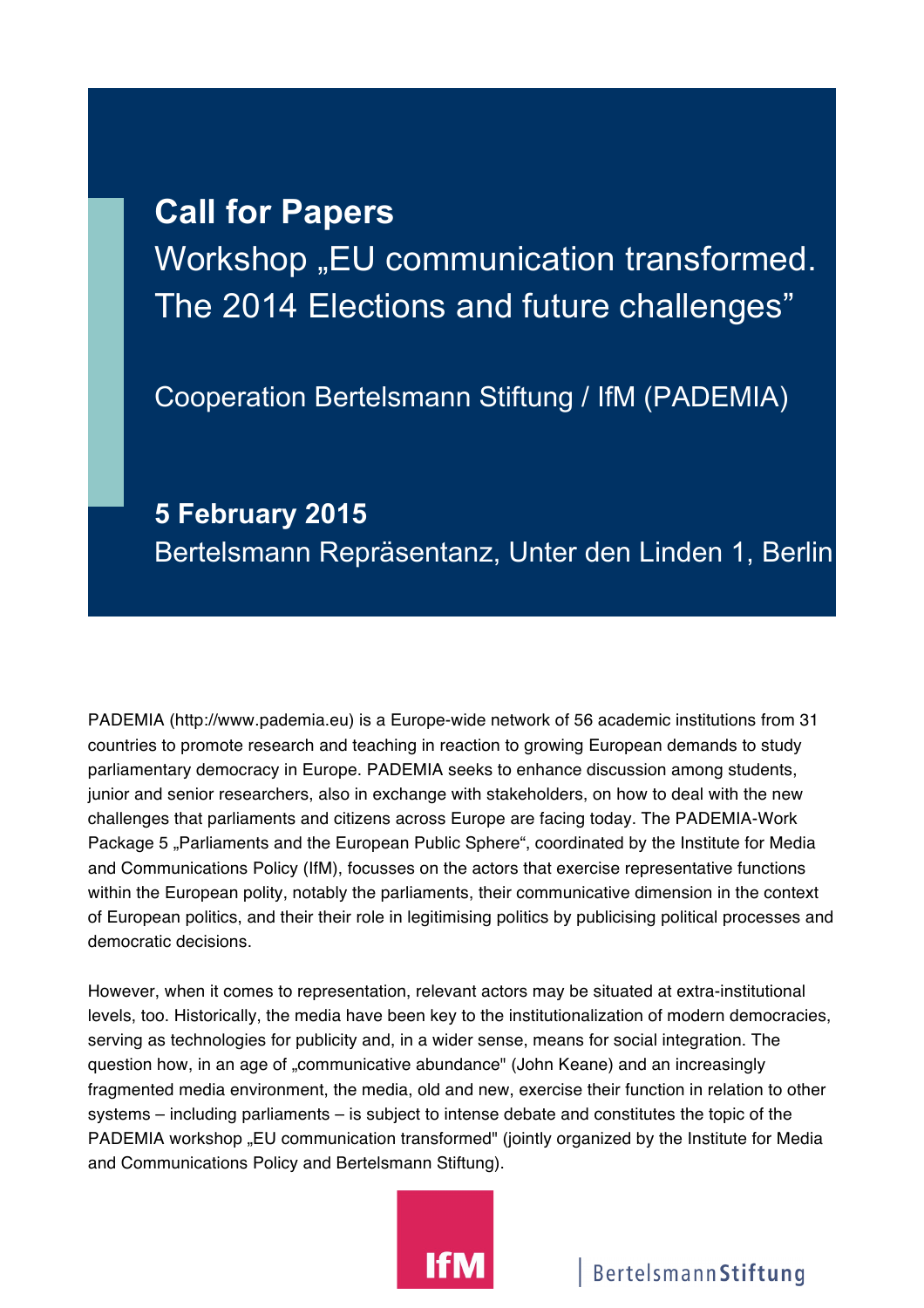## **Call for Papers** Workshop "EU communication transformed. The 2014 Elections and future challenges"

Cooperation Bertelsmann Stiftung / IfM (PADEMIA)

## **5 February 2015** Bertelsmann Repräsentanz, Unter den Linden 1, Berlin

PADEMIA (http://www.pademia.eu) is a Europe-wide network of 56 academic institutions from 31 countries to promote research and teaching in reaction to growing European demands to study parliamentary democracy in Europe. PADEMIA seeks to enhance discussion among students, junior and senior researchers, also in exchange with stakeholders, on how to deal with the new challenges that parliaments and citizens across Europe are facing today. The PADEMIA-Work Package 5 "Parliaments and the European Public Sphere", coordinated by the Institute for Media and Communications Policy (IfM), focusses on the actors that exercise representative functions within the European polity, notably the parliaments, their communicative dimension in the context of European politics, and their their role in legitimising politics by publicising political processes and democratic decisions.

However, when it comes to representation, relevant actors may be situated at extra-institutional levels, too. Historically, the media have been key to the institutionalization of modern democracies, serving as technologies for publicity and, in a wider sense, means for social integration. The question how, in an age of "communicative abundance" (John Keane) and an increasingly fragmented media environment, the media, old and new, exercise their function in relation to other systems – including parliaments – is subject to intense debate and constitutes the topic of the PADEMIA workshop "EU communication transformed" (jointly organized by the Institute for Media and Communications Policy and Bertelsmann Stiftung).